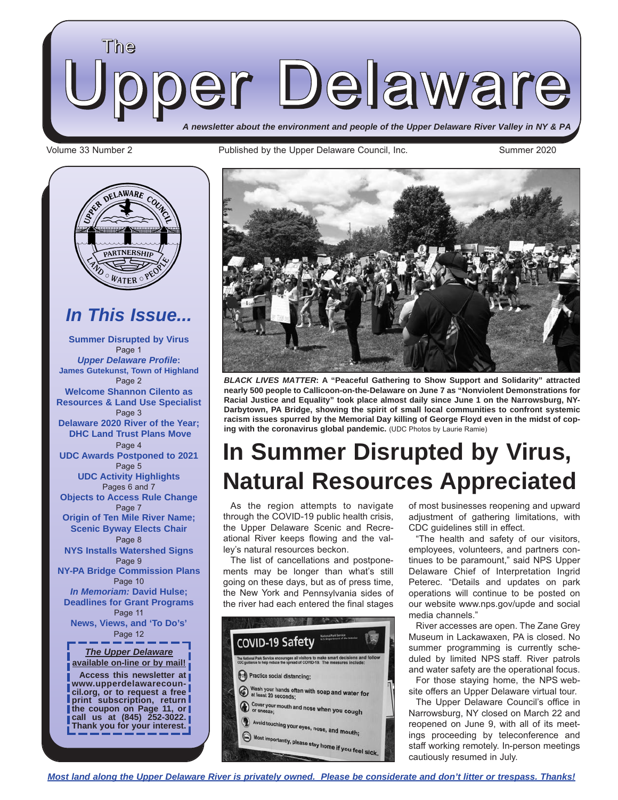

Volume 33 Number 2 **Published by the Upper Delaware Council**, Inc. Summer 2020





*BLACK LIVES MATTER***: A "Peaceful Gathering to Show Support and Solidarity" attracted nearly 500 people to Callicoon-on-the-Delaware on June 7 as "Nonviolent Demonstrations for Racial Justice and Equality" took place almost daily since June 1 on the Narrowsburg, NY-Darbytown, PA Bridge, showing the spirit of small local communities to confront systemic racism issues spurred by the Memorial Day killing of George Floyd even in the midst of coping with the coronavirus global pandemic.** (UDC Photos by Laurie Ramie)

## **In Summer Disrupted by Virus, Natural Resources Appreciated**

As the region attempts to navigate through the COVID-19 public health crisis, the Upper Delaware Scenic and Recreational River keeps flowing and the valley's natural resources beckon.

The list of cancellations and postponements may be longer than what's still going on these days, but as of press time, the New York and Pennsylvania sides of the river had each entered the final stages



of most businesses reopening and upward adjustment of gathering limitations, with CDC guidelines still in effect.

"The health and safety of our visitors, employees, volunteers, and partners continues to be paramount," said NPS Upper Delaware Chief of Interpretation Ingrid Peterec. "Details and updates on park operations will continue to be posted on our website www.nps.gov/upde and social media channels."

River accesses are open. The Zane Grey Museum in Lackawaxen, PA is closed. No summer programming is currently scheduled by limited NPS staff. River patrols and water safety are the operational focus.

For those staying home, the NPS website offers an Upper Delaware virtual tour.

The Upper Delaware Council's office in Narrowsburg, NY closed on March 22 and reopened on June 9, with all of its meetings proceeding by teleconference and staff working remotely. In-person meetings cautiously resumed in July.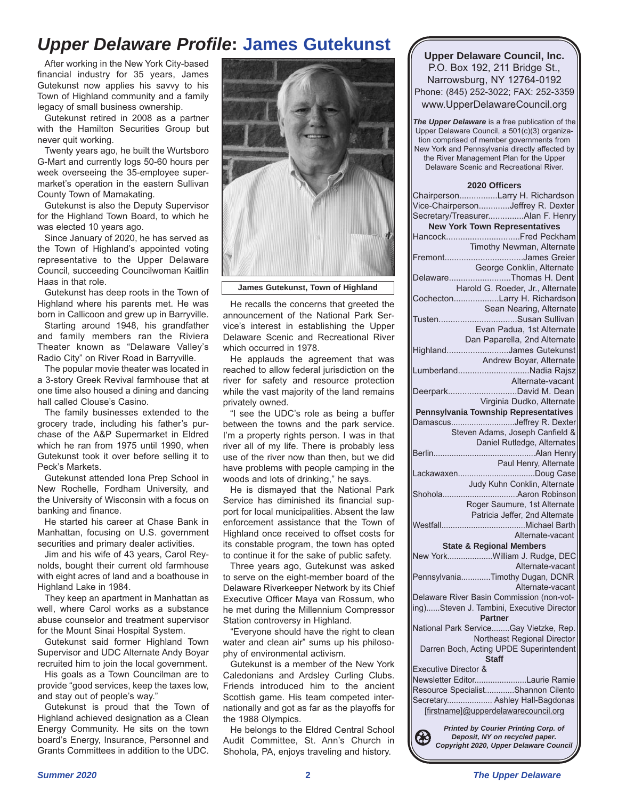### *Upper Delaware Profile***: James Gutekunst**

After working in the New York City-based financial industry for 35 years, James Gutekunst now applies his savvy to his Town of Highland community and a family legacy of small business ownership.

Gutekunst retired in 2008 as a partner with the Hamilton Securities Group but never quit working.

Twenty years ago, he built the Wurtsboro G-Mart and currently logs 50-60 hours per week overseeing the 35-employee supermarket's operation in the eastern Sullivan County Town of Mamakating.

Gutekunst is also the Deputy Supervisor for the Highland Town Board, to which he was elected 10 years ago.

Since January of 2020, he has served as the Town of Highland's appointed voting representative to the Upper Delaware Council, succeeding Councilwoman Kaitlin Haas in that role.

Gutekunst has deep roots in the Town of Highland where his parents met. He was born in Callicoon and grew up in Barryville.

Starting around 1948, his grandfather and family members ran the Riviera Theater known as "Delaware Valley's Radio City" on River Road in Barryville.

The popular movie theater was located in a 3-story Greek Revival farmhouse that at one time also housed a dining and dancing hall called Clouse's Casino.

The family businesses extended to the grocery trade, including his father's purchase of the A&P Supermarket in Eldred which he ran from 1975 until 1990, when Gutekunst took it over before selling it to Peck's Markets.

Gutekunst attended Iona Prep School in New Rochelle, Fordham University, and the University of Wisconsin with a focus on banking and finance.

He started his career at Chase Bank in Manhattan, focusing on U.S. government securities and primary dealer activities.

Jim and his wife of 43 years, Carol Reynolds, bought their current old farmhouse with eight acres of land and a boathouse in Highland Lake in 1984.

They keep an apartment in Manhattan as well, where Carol works as a substance abuse counselor and treatment supervisor for the Mount Sinai Hospital System.

Gutekunst said former Highland Town Supervisor and UDC Alternate Andy Boyar recruited him to join the local government.

His goals as a Town Councilman are to provide "good services, keep the taxes low, and stay out of people's way."

Gutekunst is proud that the Town of Highland achieved designation as a Clean Energy Community. He sits on the town board's Energy, Insurance, Personnel and Grants Committees in addition to the UDC.



**James Gutekunst, Town of Highland**

He recalls the concerns that greeted the announcement of the National Park Service's interest in establishing the Upper Delaware Scenic and Recreational River which occurred in 1978.

He applauds the agreement that was reached to allow federal jurisdiction on the river for safety and resource protection while the vast majority of the land remains privately owned.

"I see the UDC's role as being a buffer between the towns and the park service. I'm a property rights person. I was in that river all of my life. There is probably less use of the river now than then, but we did have problems with people camping in the woods and lots of drinking," he says.

He is dismayed that the National Park Service has diminished its financial support for local municipalities. Absent the law enforcement assistance that the Town of Highland once received to offset costs for its constable program, the town has opted to continue it for the sake of public safety.

Three years ago, Gutekunst was asked to serve on the eight-member board of the Delaware Riverkeeper Network by its Chief Executive Officer Maya van Rossum, who he met during the Millennium Compressor Station controversy in Highland.

"Everyone should have the right to clean water and clean air" sums up his philosophy of environmental activism.

Gutekunst is a member of the New York Caledonians and Ardsley Curling Clubs. Friends introduced him to the ancient Scottish game. His team competed internationally and got as far as the playoffs for the 1988 Olympics.

He belongs to the Eldred Central School Audit Committee, St. Ann's Church in Shohola, PA, enjoys traveling and history.

**Upper Delaware Council, Inc.** P.O. Box 192, 211 Bridge St., Narrowsburg, NY 12764-0192 Phone: (845) 252-3022; FAX: 252-3359 www.UpperDelawareCouncil.org

*The Upper Delaware* is a free publication of the Upper Delaware Council, a 501(c)(3) organization comprised of member governments from New York and Pennsylvania directly affected by the River Management Plan for the Upper Delaware Scenic and Recreational River.

#### **2020 Officers**

| ChairpersonLarry H. Richardson                                           |
|--------------------------------------------------------------------------|
| Vice-ChairpersonJeffrey R. Dexter                                        |
| Secretary/TreasurerAlan F. Henry                                         |
| <b>New York Town Representatives</b>                                     |
|                                                                          |
| Timothy Newman, Alternate                                                |
| FremontJames Greier                                                      |
| George Conklin, Alternate                                                |
| DelawareThomas H. Dent                                                   |
| Harold G. Roeder, Jr., Alternate                                         |
| CochectonLarry H. Richardson                                             |
| Sean Nearing, Alternate                                                  |
| TustenSusan Sullivan                                                     |
| Evan Padua, 1st Alternate                                                |
| Dan Paparella, 2nd Alternate                                             |
| HighlandJames Gutekunst                                                  |
| Andrew Boyar, Alternate                                                  |
| LumberlandNadia Rajsz                                                    |
| Alternate-vacant                                                         |
| DeerparkDavid M. Dean                                                    |
| Virginia Dudko, Alternate                                                |
| Pennsylvania Township Representatives                                    |
| DamascusJeffrey R. Dexter                                                |
| Steven Adams, Joseph Canfield &                                          |
| Daniel Rutledge, Alternates                                              |
|                                                                          |
| Paul Henry, Alternate                                                    |
|                                                                          |
| Judy Kuhn Conklin, Alternate                                             |
|                                                                          |
| Roger Saumure, 1st Alternate                                             |
| Patricia Jeffer, 2nd Alternate                                           |
|                                                                          |
|                                                                          |
| Alternate-vacant                                                         |
| <b>State &amp; Regional Members</b>                                      |
| New YorkWilliam J. Rudge, DEC                                            |
| Alternate-vacant                                                         |
| PennsylvaniaTimothy Dugan, DCNR                                          |
| Alternate-vacant                                                         |
| Delaware River Basin Commission (non-vot-                                |
| ing)Steven J. Tambini, Executive Director<br><b>Partner</b>              |
| National Park ServiceGay Vietzke, Rep.                                   |
| Northeast Regional Director                                              |
| Darren Boch, Acting UPDE Superintendent                                  |
| <b>Staff</b>                                                             |
| <b>Executive Director &amp;</b>                                          |
| Newsletter EditorLaurie Ramie                                            |
| Resource SpecialistShannon Cilento                                       |
| Secretary Ashley Hall-Bagdonas                                           |
| [firstname]@upperdelawarecouncil.org                                     |
| <b>Printed by Courier Printing Corp. of</b>                              |
| Deposit, NY on recycled paper.<br>Copyright 2020, Upper Delaware Council |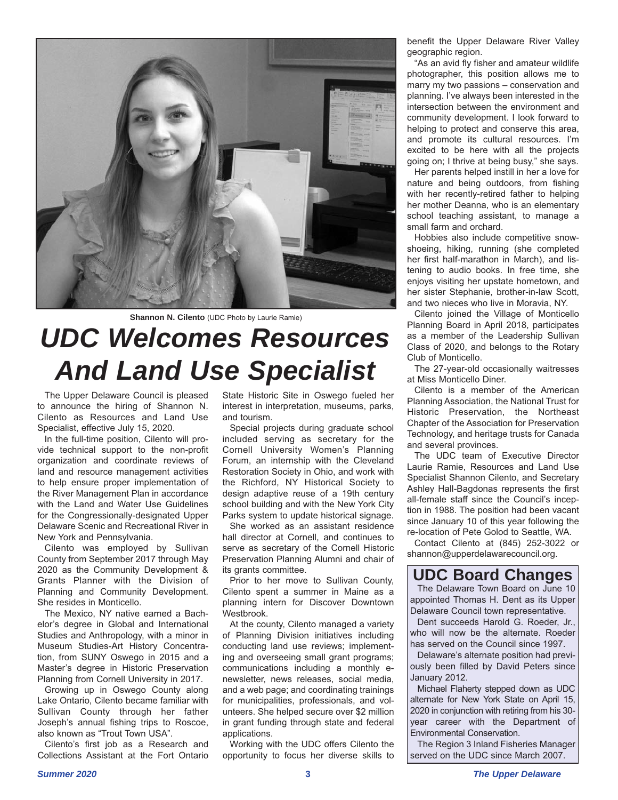



# *UDC Welcomes Resources And Land Use Specialist*

The Upper Delaware Council is pleased to announce the hiring of Shannon N. Cilento as Resources and Land Use Specialist, effective July 15, 2020.

In the full-time position, Cilento will provide technical support to the non-profit organization and coordinate reviews of land and resource management activities to help ensure proper implementation of the River Management Plan in accordance with the Land and Water Use Guidelines for the Congressionally-designated Upper Delaware Scenic and Recreational River in New York and Pennsylvania.

Cilento was employed by Sullivan County from September 2017 through May 2020 as the Community Development & Grants Planner with the Division of Planning and Community Development. She resides in Monticello.

The Mexico, NY native earned a Bachelor's degree in Global and International Studies and Anthropology, with a minor in Museum Studies-Art History Concentration, from SUNY Oswego in 2015 and a Master's degree in Historic Preservation Planning from Cornell University in 2017.

Growing up in Oswego County along Lake Ontario, Cilento became familiar with Sullivan County through her father Joseph's annual fishing trips to Roscoe, also known as "Trout Town USA".

Cilento's first job as a Research and Collections Assistant at the Fort Ontario State Historic Site in Oswego fueled her interest in interpretation, museums, parks, and tourism.

Special projects during graduate school included serving as secretary for the Cornell University Women's Planning Forum, an internship with the Cleveland Restoration Society in Ohio, and work with the Richford, NY Historical Society to design adaptive reuse of a 19th century school building and with the New York City Parks system to update historical signage.

She worked as an assistant residence hall director at Cornell, and continues to serve as secretary of the Cornell Historic Preservation Planning Alumni and chair of its grants committee.

Prior to her move to Sullivan County, Cilento spent a summer in Maine as a planning intern for Discover Downtown Westbrook.

At the county, Cilento managed a variety of Planning Division initiatives including conducting land use reviews; implementing and overseeing small grant programs; communications including a monthly enewsletter, news releases, social media, and a web page; and coordinating trainings for municipalities, professionals, and volunteers. She helped secure over \$2 million in grant funding through state and federal applications.

Working with the UDC offers Cilento the opportunity to focus her diverse skills to benefit the Upper Delaware River Valley geographic region.

"As an avid fly fisher and amateur wildlife photographer, this position allows me to marry my two passions – conservation and planning. I've always been interested in the intersection between the environment and community development. I look forward to helping to protect and conserve this area, and promote its cultural resources. I'm excited to be here with all the projects going on; I thrive at being busy," she says.

Her parents helped instill in her a love for nature and being outdoors, from fishing with her recently-retired father to helping her mother Deanna, who is an elementary school teaching assistant, to manage a small farm and orchard.

Hobbies also include competitive snowshoeing, hiking, running (she completed her first half-marathon in March), and listening to audio books. In free time, she enjoys visiting her upstate hometown, and her sister Stephanie, brother-in-law Scott, and two nieces who live in Moravia, NY.

Cilento joined the Village of Monticello Planning Board in April 2018, participates as a member of the Leadership Sullivan Class of 2020, and belongs to the Rotary Club of Monticello.

The 27-year-old occasionally waitresses at Miss Monticello Diner.

Cilento is a member of the American Planning Association, the National Trust for Historic Preservation, the Northeast Chapter of the Association for Preservation Technology, and heritage trusts for Canada and several provinces.

The UDC team of Executive Director Laurie Ramie, Resources and Land Use Specialist Shannon Cilento, and Secretary Ashley Hall-Bagdonas represents the first all-female staff since the Council's inception in 1988. The position had been vacant since January 10 of this year following the re-location of Pete Golod to Seattle, WA.

Contact Cilento at (845) 252-3022 or shannon@upperdelawarecouncil.org.

### **UDC Board Changes**

The Delaware Town Board on June 10 appointed Thomas H. Dent as its Upper Delaware Council town representative.

Dent succeeds Harold G. Roeder, Jr., who will now be the alternate. Roeder has served on the Council since 1997.

Delaware's alternate position had previously been filled by David Peters since January 2012.

Michael Flaherty stepped down as UDC alternate for New York State on April 15, 2020 in conjunction with retiring from his 30 year career with the Department of Environmental Conservation.

The Region 3 Inland Fisheries Manager served on the UDC since March 2007.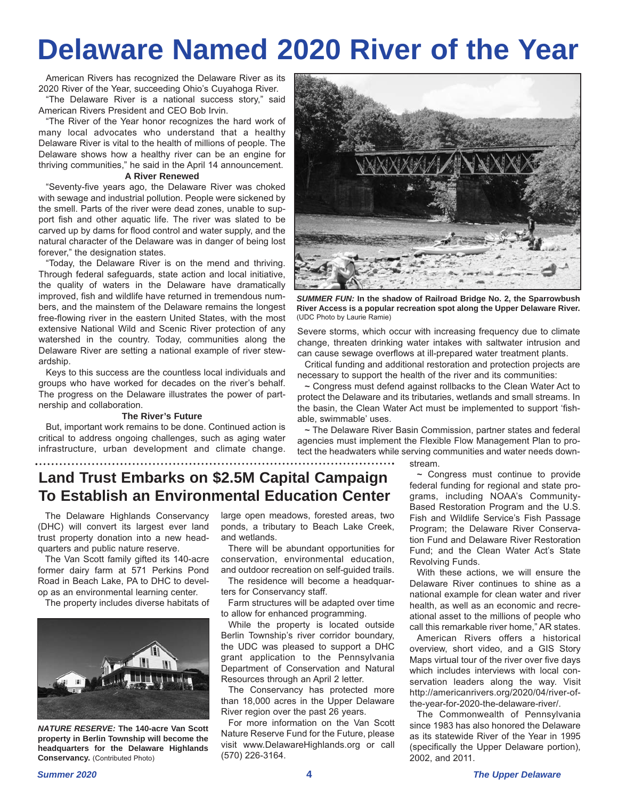# **Delaware Named 2020 River of the Year**

American Rivers has recognized the Delaware River as its 2020 River of the Year, succeeding Ohio's Cuyahoga River.

"The Delaware River is a national success story," said American Rivers President and CEO Bob Irvin.

"The River of the Year honor recognizes the hard work of many local advocates who understand that a healthy Delaware River is vital to the health of millions of people. The Delaware shows how a healthy river can be an engine for thriving communities," he said in the April 14 announcement.

#### **A River Renewed**

"Seventy-five years ago, the Delaware River was choked with sewage and industrial pollution. People were sickened by the smell. Parts of the river were dead zones, unable to support fish and other aquatic life. The river was slated to be carved up by dams for flood control and water supply, and the natural character of the Delaware was in danger of being lost forever," the designation states.

"Today, the Delaware River is on the mend and thriving. Through federal safeguards, state action and local initiative, the quality of waters in the Delaware have dramatically improved, fish and wildlife have returned in tremendous numbers, and the mainstem of the Delaware remains the longest free-flowing river in the eastern United States, with the most extensive National Wild and Scenic River protection of any watershed in the country. Today, communities along the Delaware River are setting a national example of river stewardship.

Keys to this success are the countless local individuals and groups who have worked for decades on the river's behalf. The progress on the Delaware illustrates the power of partnership and collaboration.

#### **The River's Future**

But, important work remains to be done. Continued action is critical to address ongoing challenges, such as aging water infrastructure, urban development and climate change.



*SUMMER FUN:* **In the shadow of Railroad Bridge No. 2, the Sparrowbush River Access is a popular recreation spot along the Upper Delaware River.** (UDC Photo by Laurie Ramie)

Severe storms, which occur with increasing frequency due to climate change, threaten drinking water intakes with saltwater intrusion and can cause sewage overflows at ill-prepared water treatment plants.

Critical funding and additional restoration and protection projects are necessary to support the health of the river and its communities:

**~** Congress must defend against rollbacks to the Clean Water Act to protect the Delaware and its tributaries, wetlands and small streams. In the basin, the Clean Water Act must be implemented to support 'fishable, swimmable' uses.

**~** The Delaware River Basin Commission, partner states and federal agencies must implement the Flexible Flow Management Plan to protect the headwaters while serving communities and water needs down-

stream.

### **Land Trust Embarks on \$2.5M Capital Campaign To Establish an Environmental Education Center**

The Delaware Highlands Conservancy (DHC) will convert its largest ever land trust property donation into a new headquarters and public nature reserve.

The Van Scott family gifted its 140-acre former dairy farm at 571 Perkins Pond Road in Beach Lake, PA to DHC to develop as an environmental learning center.

The property includes diverse habitats of



*NATURE RESERVE:* **The 140-acre Van Scott property in Berlin Township will become the headquarters for the Delaware Highlands Conservancy.** (Contributed Photo)

large open meadows, forested areas, two ponds, a tributary to Beach Lake Creek, and wetlands.

There will be abundant opportunities for conservation, environmental education, and outdoor recreation on self-guided trails.

The residence will become a headquarters for Conservancy staff.

Farm structures will be adapted over time to allow for enhanced programming.

While the property is located outside Berlin Township's river corridor boundary, the UDC was pleased to support a DHC grant application to the Pennsylvania Department of Conservation and Natural Resources through an April 2 letter.

The Conservancy has protected more than 18,000 acres in the Upper Delaware River region over the past 26 years.

For more information on the Van Scott Nature Reserve Fund for the Future, please visit www.DelawareHighlands.org or call (570) 226-3164.

**~** Congress must continue to provide federal funding for regional and state programs, including NOAA's Community-Based Restoration Program and the U.S. Fish and Wildlife Service's Fish Passage Program; the Delaware River Conservation Fund and Delaware River Restoration Fund; and the Clean Water Act's State Revolving Funds.

With these actions, we will ensure the Delaware River continues to shine as a national example for clean water and river health, as well as an economic and recreational asset to the millions of people who call this remarkable river home," AR states.

American Rivers offers a historical overview, short video, and a GIS Story Maps virtual tour of the river over five days which includes interviews with local conservation leaders along the way. Visit http://americanrivers.org/2020/04/river-ofthe-year-for-2020-the-delaware-river/.

The Commonwealth of Pennsylvania since 1983 has also honored the Delaware as its statewide River of the Year in 1995 (specifically the Upper Delaware portion), 2002, and 2011.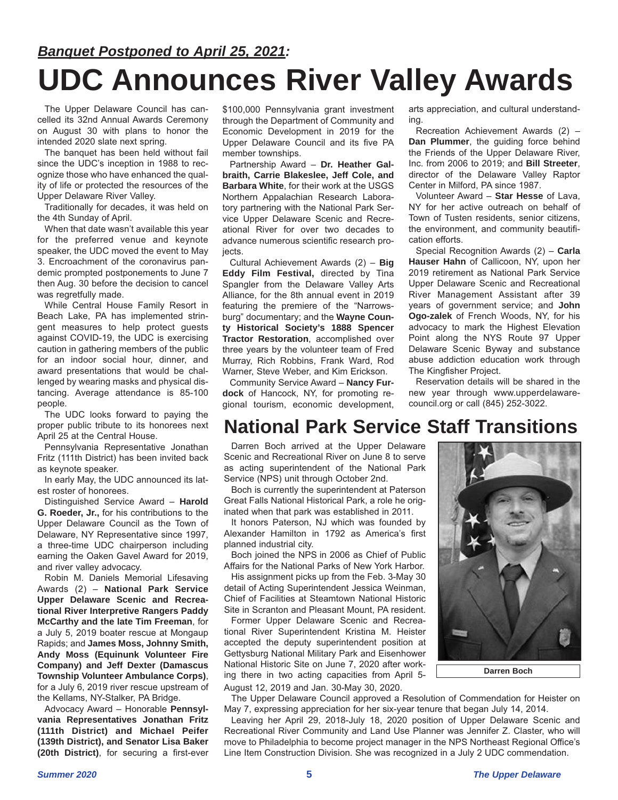## *Banquet Postponed to April 25, 2021:* **UDC Announces River Valley Awards**

The Upper Delaware Council has cancelled its 32nd Annual Awards Ceremony on August 30 with plans to honor the intended 2020 slate next spring.

The banquet has been held without fail since the UDC's inception in 1988 to recognize those who have enhanced the quality of life or protected the resources of the Upper Delaware River Valley.

Traditionally for decades, it was held on the 4th Sunday of April.

When that date wasn't available this year for the preferred venue and keynote speaker, the UDC moved the event to May 3. Encroachment of the coronavirus pandemic prompted postponements to June 7 then Aug. 30 before the decision to cancel was regretfully made.

While Central House Family Resort in Beach Lake, PA has implemented stringent measures to help protect guests against COVID-19, the UDC is exercising caution in gathering members of the public for an indoor social hour, dinner, and award presentations that would be challenged by wearing masks and physical distancing. Average attendance is 85-100 people.

The UDC looks forward to paying the proper public tribute to its honorees next April 25 at the Central House.

Pennsylvania Representative Jonathan Fritz (111th District) has been invited back as keynote speaker.

In early May, the UDC announced its latest roster of honorees.

Distinguished Service Award – **Harold G. Roeder, Jr.,** for his contributions to the Upper Delaware Council as the Town of Delaware, NY Representative since 1997, a three-time UDC chairperson including earning the Oaken Gavel Award for 2019, and river valley advocacy.

Robin M. Daniels Memorial Lifesaving Awards (2) – **National Park Service Upper Delaware Scenic and Recreational River Interpretive Rangers Paddy McCarthy and the late Tim Freeman**, for a July 5, 2019 boater rescue at Mongaup Rapids; and **James Moss, Johnny Smith, Andy Moss (Equinunk Volunteer Fire Company) and Jeff Dexter (Damascus Township Volunteer Ambulance Corps)**, for a July 6, 2019 river rescue upstream of the Kellams, NY-Stalker, PA Bridge.

Advocacy Award – Honorable **Pennsylvania Representatives Jonathan Fritz (111th District) and Michael Peifer (139th District), and Senator Lisa Baker (20th District)**, for securing a first-ever \$100,000 Pennsylvania grant investment through the Department of Community and Economic Development in 2019 for the Upper Delaware Council and its five PA member townships.

Partnership Award – **Dr. Heather Galbraith, Carrie Blakeslee, Jeff Cole, and Barbara White**, for their work at the USGS Northern Appalachian Research Laboratory partnering with the National Park Service Upper Delaware Scenic and Recreational River for over two decades to advance numerous scientific research proiects.

Cultural Achievement Awards (2) – **Big Eddy Film Festival,** directed by Tina Spangler from the Delaware Valley Arts Alliance, for the 8th annual event in 2019 featuring the premiere of the "Narrowsburg" documentary; and the **Wayne County Historical Society's 1888 Spencer Tractor Restoration**, accomplished over three years by the volunteer team of Fred Murray, Rich Robbins, Frank Ward, Rod Warner, Steve Weber, and Kim Erickson.

Community Service Award – **Nancy Furdock** of Hancock, NY, for promoting regional tourism, economic development,

arts appreciation, and cultural understanding.

Recreation Achievement Awards (2) – **Dan Plummer**, the guiding force behind the Friends of the Upper Delaware River, Inc. from 2006 to 2019; and **Bill Streeter**, director of the Delaware Valley Raptor Center in Milford, PA since 1987.

Volunteer Award – **Star Hesse** of Lava, NY for her active outreach on behalf of Town of Tusten residents, senior citizens, the environment, and community beautification efforts.

Special Recognition Awards (2) – **Carla Hauser Hahn** of Callicoon, NY, upon her 2019 retirement as National Park Service Upper Delaware Scenic and Recreational River Management Assistant after 39 years of government service; and **John Ogo-zalek** of French Woods, NY, for his advocacy to mark the Highest Elevation Point along the NYS Route 97 Upper Delaware Scenic Byway and substance abuse addiction education work through The Kingfisher Project.

Reservation details will be shared in the new year through www.upperdelawarecouncil.org or call (845) 252-3022.

### **National Park Service Staff Transitions**

Darren Boch arrived at the Upper Delaware Scenic and Recreational River on June 8 to serve as acting superintendent of the National Park Service (NPS) unit through October 2nd.

Boch is currently the superintendent at Paterson Great Falls National Historical Park, a role he originated when that park was established in 2011.

It honors Paterson, NJ which was founded by Alexander Hamilton in 1792 as America's first planned industrial city.

Boch joined the NPS in 2006 as Chief of Public Affairs for the National Parks of New York Harbor.

His assignment picks up from the Feb. 3-May 30 detail of Acting Superintendent Jessica Weinman, Chief of Facilities at Steamtown National Historic Site in Scranton and Pleasant Mount, PA resident.

Former Upper Delaware Scenic and Recreational River Superintendent Kristina M. Heister accepted the deputy superintendent position at Gettysburg National Military Park and Eisenhower National Historic Site on June 7, 2020 after working there in two acting capacities from April 5-

August 12, 2019 and Jan. 30-May 30, 2020.

**Darren Boch**

The Upper Delaware Council approved a Resolution of Commendation for Heister on May 7, expressing appreciation for her six-year tenure that began July 14, 2014.

Leaving her April 29, 2018-July 18, 2020 position of Upper Delaware Scenic and Recreational River Community and Land Use Planner was Jennifer Z. Claster, who will move to Philadelphia to become project manager in the NPS Northeast Regional Office's Line Item Construction Division. She was recognized in a July 2 UDC commendation.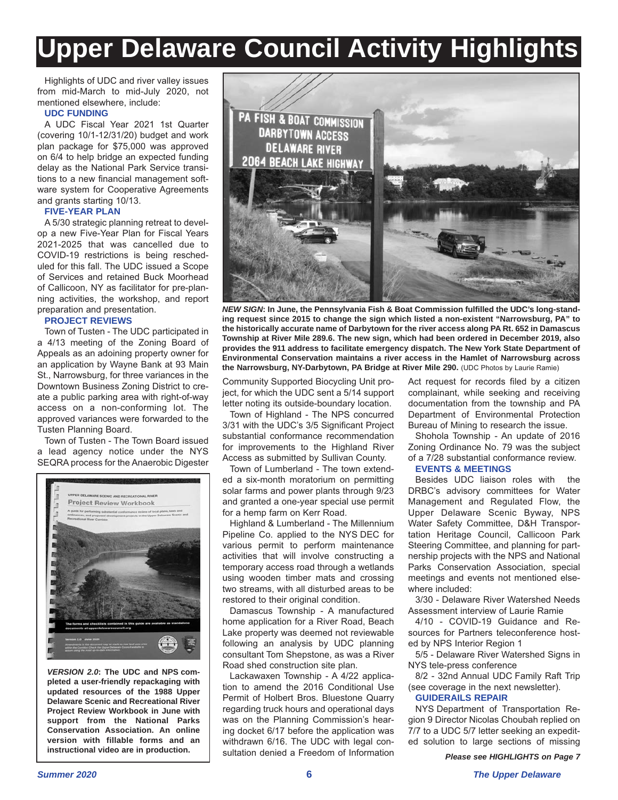# **Upper Delaware Council Activity Highlights**

Highlights of UDC and river valley issues from mid-March to mid-July 2020, not mentioned elsewhere, include:

#### **UDC FUNDING**

A UDC Fiscal Year 2021 1st Quarter (covering 10/1-12/31/20) budget and work plan package for \$75,000 was approved on 6/4 to help bridge an expected funding delay as the National Park Service transitions to a new financial management software system for Cooperative Agreements and grants starting 10/13.

#### **FIVE-YEAR PLAN**

A 5/30 strategic planning retreat to develop a new Five-Year Plan for Fiscal Years 2021-2025 that was cancelled due to COVID-19 restrictions is being rescheduled for this fall. The UDC issued a Scope of Services and retained Buck Moorhead of Callicoon, NY as facilitator for pre-planning activities, the workshop, and report preparation and presentation.

#### **PROJECT REVIEWS**

Town of Tusten - The UDC participated in a 4/13 meeting of the Zoning Board of Appeals as an adoining property owner for an application by Wayne Bank at 93 Main St., Narrowsburg, for three variances in the Downtown Business Zoning District to create a public parking area with right-of-way access on a non-conforming lot. The approved variances were forwarded to the Tusten Planning Board.

Town of Tusten - The Town Board issued a lead agency notice under the NYS SEQRA process for the Anaerobic Digester



*VERSION 2.0***: The UDC and NPS completed a user-friendly repackaging with updated resources of the 1988 Upper Delaware Scenic and Recreational River Project Review Workbook in June with support from the National Parks Conservation Association. An online version with fillable forms and an instructional video are in production.**



*NEW SIGN***: In June, the Pennsylvania Fish & Boat Commission fulfilled the UDC's long-standing request since 2015 to change the sign which listed a non-existent "Narrowsburg, PA" to the historically accurate name of Darbytown for the river access along PA Rt. 652 in Damascus Township at River Mile 289.6. The new sign, which had been ordered in December 2019, also provides the 911 address to facilitate emergency dispatch. The New York State Department of Environmental Conservation maintains a river access in the Hamlet of Narrowsburg across the Narrowsburg, NY-Darbytown, PA Bridge at River Mile 290.** (UDC Photos by Laurie Ramie)

Community Supported Biocycling Unit proiect. for which the UDC sent a 5/14 support letter noting its outside-boundary location.

Town of Highland - The NPS concurred 3/31 with the UDC's 3/5 Significant Project substantial conformance recommendation for improvements to the Highland River Access as submitted by Sullivan County.

Town of Lumberland - The town extended a six-month moratorium on permitting solar farms and power plants through 9/23 and granted a one-year special use permit for a hemp farm on Kerr Road.

Highland & Lumberland - The Millennium Pipeline Co. applied to the NYS DEC for various permit to perform maintenance activities that will involve constructing a temporary access road through a wetlands using wooden timber mats and crossing two streams, with all disturbed areas to be restored to their original condition.

Damascus Township - A manufactured home application for a River Road, Beach Lake property was deemed not reviewable following an analysis by UDC planning consultant Tom Shepstone, as was a River Road shed construction site plan.

Lackawaxen Township - A 4/22 application to amend the 2016 Conditional Use Permit of Holbert Bros. Bluestone Quarry regarding truck hours and operational days was on the Planning Commission's hearing docket 6/17 before the application was withdrawn 6/16. The UDC with legal consultation denied a Freedom of Information Act request for records filed by a citizen complainant, while seeking and receiving documentation from the township and PA Department of Environmental Protection Bureau of Mining to research the issue.

Shohola Township - An update of 2016 Zoning Ordinance No. 79 was the subject of a 7/28 substantial conformance review.

#### **EVENTS & MEETINGS**

Besides UDC liaison roles with the DRBC's advisory committees for Water Management and Regulated Flow, the Upper Delaware Scenic Byway, NPS Water Safety Committee, D&H Transportation Heritage Council, Callicoon Park Steering Committee, and planning for partnership projects with the NPS and National Parks Conservation Association, special meetings and events not mentioned elsewhere included:

3/30 - Delaware River Watershed Needs Assessment interview of Laurie Ramie

4/10 - COVID-19 Guidance and Resources for Partners teleconference hosted by NPS Interior Region 1

5/5 - Delaware River Watershed Signs in NYS tele-press conference

8/2 - 32nd Annual UDC Family Raft Trip (see coverage in the next newsletter).

#### **GUIDERAILS REPAIR**

NYS Department of Transportation Region 9 Director Nicolas Choubah replied on 7/7 to a UDC 5/7 letter seeking an expedited solution to large sections of missing

*Please see HIGHLIGHTS on Page 7*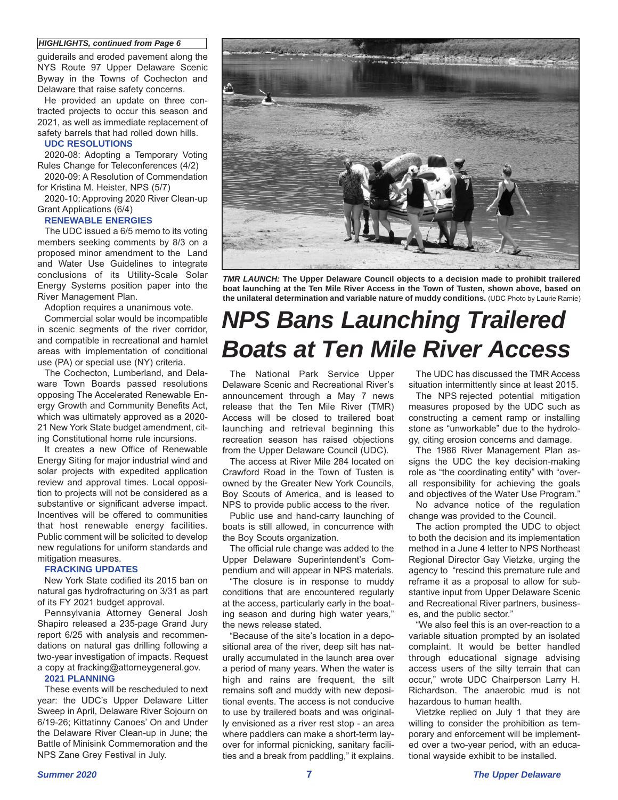#### *HIGHLIGHTS, continued from Page 6*

guiderails and eroded pavement along the NYS Route 97 Upper Delaware Scenic Byway in the Towns of Cochecton and Delaware that raise safety concerns.

He provided an update on three contracted projects to occur this season and 2021, as well as immediate replacement of safety barrels that had rolled down hills.

#### **UDC RESOLUTIONS**

2020-08: Adopting a Temporary Voting Rules Change for Teleconferences (4/2)

2020-09: A Resolution of Commendation for Kristina M. Heister, NPS (5/7)

2020-10: Approving 2020 River Clean-up Grant Applications (6/4)

#### **RENEWABLE ENERGIES**

The UDC issued a 6/5 memo to its voting members seeking comments by 8/3 on a proposed minor amendment to the Land and Water Use Guidelines to integrate conclusions of its Utility-Scale Solar Energy Systems position paper into the River Management Plan.

Adoption requires a unanimous vote.

Commercial solar would be incompatible in scenic segments of the river corridor, and compatible in recreational and hamlet areas with implementation of conditional use (PA) or special use (NY) criteria.

The Cochecton, Lumberland, and Delaware Town Boards passed resolutions opposing The Accelerated Renewable Energy Growth and Community Benefits Act, which was ultimately approved as a 2020- 21 New York State budget amendment, citing Constitutional home rule incursions.

It creates a new Office of Renewable Energy Siting for major industrial wind and solar projects with expedited application review and approval times. Local opposition to projects will not be considered as a substantive or significant adverse impact. Incentives will be offered to communities that host renewable energy facilities. Public comment will be solicited to develop new regulations for uniform standards and mitigation measures.

#### **FRACKING UPDATES**

New York State codified its 2015 ban on natural gas hydrofracturing on 3/31 as part of its FY 2021 budget approval.

Pennsylvania Attorney General Josh Shapiro released a 235-page Grand Jury report 6/25 with analysis and recommendations on natural gas drilling following a two-year investigation of impacts. Request a copy at fracking@attorneygeneral.gov.

#### **2021 PLANNING**

These events will be rescheduled to next year: the UDC's Upper Delaware Litter Sweep in April, Delaware River Sojourn on 6/19-26; Kittatinny Canoes' On and Under the Delaware River Clean-up in June; the Battle of Minisink Commemoration and the NPS Zane Grey Festival in July.



*TMR LAUNCH:* **The Upper Delaware Council objects to a decision made to prohibit trailered boat launching at the Ten Mile River Access in the Town of Tusten, shown above, based on the unilateral determination and variable nature of muddy conditions.** (UDC Photo by Laurie Ramie)

## *NPS Bans Launching Trailered Boats at Ten Mile River Access*

The National Park Service Upper Delaware Scenic and Recreational River's announcement through a May 7 news release that the Ten Mile River (TMR) Access will be closed to trailered boat launching and retrieval beginning this recreation season has raised objections from the Upper Delaware Council (UDC).

The access at River Mile 284 located on Crawford Road in the Town of Tusten is owned by the Greater New York Councils, Boy Scouts of America, and is leased to NPS to provide public access to the river.

Public use and hand-carry launching of boats is still allowed, in concurrence with the Boy Scouts organization.

The official rule change was added to the Upper Delaware Superintendent's Compendium and will appear in NPS materials.

"The closure is in response to muddy conditions that are encountered regularly at the access, particularly early in the boating season and during high water years," the news release stated.

"Because of the site's location in a depositional area of the river, deep silt has naturally accumulated in the launch area over a period of many years. When the water is high and rains are frequent, the silt remains soft and muddy with new depositional events. The access is not conducive to use by trailered boats and was originally envisioned as a river rest stop - an area where paddlers can make a short-term layover for informal picnicking, sanitary facilities and a break from paddling," it explains.

The UDC has discussed the TMR Access situation intermittently since at least 2015.

The NPS rejected potential mitigation measures proposed by the UDC such as constructing a cement ramp or installing stone as "unworkable" due to the hydrology, citing erosion concerns and damage.

The 1986 River Management Plan assigns the UDC the key decision-making role as "the coordinating entity" with "overall responsibility for achieving the goals and objectives of the Water Use Program."

No advance notice of the regulation change was provided to the Council.

The action prompted the UDC to object to both the decision and its implementation method in a June 4 letter to NPS Northeast Regional Director Gay Vietzke, urging the agency to "rescind this premature rule and reframe it as a proposal to allow for substantive input from Upper Delaware Scenic and Recreational River partners, businesses, and the public sector."

"We also feel this is an over-reaction to a variable situation prompted by an isolated complaint. It would be better handled through educational signage advising access users of the silty terrain that can occur," wrote UDC Chairperson Larry H. Richardson. The anaerobic mud is not hazardous to human health.

Vietzke replied on July 1 that they are willing to consider the prohibition as temporary and enforcement will be implemented over a two-year period, with an educational wayside exhibit to be installed.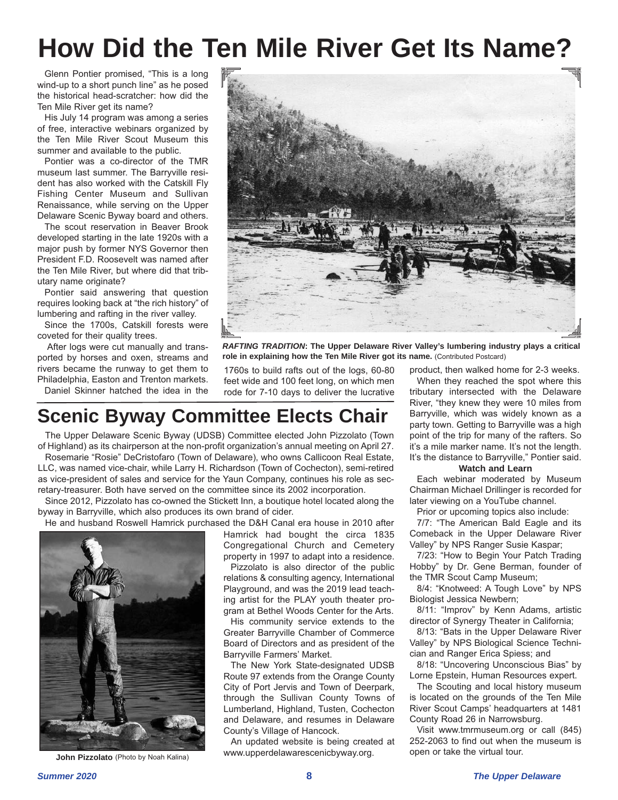# **How Did the Ten Mile River Get Its Name?**

Glenn Pontier promised, "This is a long wind-up to a short punch line" as he posed the historical head-scratcher: how did the Ten Mile River get its name?

His July 14 program was among a series of free, interactive webinars organized by the Ten Mile River Scout Museum this summer and available to the public.

Pontier was a co-director of the TMR museum last summer. The Barryville resident has also worked with the Catskill Fly Fishing Center Museum and Sullivan Renaissance, while serving on the Upper Delaware Scenic Byway board and others.

The scout reservation in Beaver Brook developed starting in the late 1920s with a major push by former NYS Governor then President F.D. Roosevelt was named after the Ten Mile River, but where did that tributary name originate?

Pontier said answering that question requires looking back at "the rich history" of lumbering and rafting in the river valley.

Since the 1700s, Catskill forests were coveted for their quality trees.

After logs were cut manually and transported by horses and oxen, streams and rivers became the runway to get them to Philadelphia, Easton and Trenton markets.

Daniel Skinner hatched the idea in the



*RAFTING TRADITION***: The Upper Delaware River Valley's lumbering industry plays a critical** role in explaining how the Ten Mile River got its name. (Contributed Postcard)

1760s to build rafts out of the logs, 60-80 feet wide and 100 feet long, on which men rode for 7-10 days to deliver the lucrative

## **Scenic Byway Committee Elects Chair**

The Upper Delaware Scenic Byway (UDSB) Committee elected John Pizzolato (Town of Highland) as its chairperson at the non-profit organization's annual meeting on April 27.

Rosemarie "Rosie" DeCristofaro (Town of Delaware), who owns Callicoon Real Estate, LLC, was named vice-chair, while Larry H. Richardson (Town of Cochecton), semi-retired as vice-president of sales and service for the Yaun Company, continues his role as secretary-treasurer. Both have served on the committee since its 2002 incorporation.

Since 2012, Pizzolato has co-owned the Stickett Inn, a boutique hotel located along the byway in Barryville, which also produces its own brand of cider.



**John Pizzolato** (Photo by Noah Kalina)

He and husband Roswell Hamrick purchased the D&H Canal era house in 2010 after Hamrick had bought the circa 1835 Congregational Church and Cemetery property in 1997 to adapt into a residence.

Pizzolato is also director of the public relations & consulting agency, International Playground, and was the 2019 lead teaching artist for the PLAY youth theater program at Bethel Woods Center for the Arts.

His community service extends to the Greater Barryville Chamber of Commerce Board of Directors and as president of the Barryville Farmers' Market.

The New York State-designated UDSB Route 97 extends from the Orange County City of Port Jervis and Town of Deerpark, through the Sullivan County Towns of Lumberland, Highland, Tusten, Cochecton and Delaware, and resumes in Delaware County's Village of Hancock.

An updated website is being created at www.upperdelawarescenicbyway.org.

product, then walked home for 2-3 weeks. When they reached the spot where this tributary intersected with the Delaware River, "they knew they were 10 miles from Barryville, which was widely known as a party town. Getting to Barryville was a high point of the trip for many of the rafters. So it's a mile marker name. It's not the length. It's the distance to Barryville," Pontier said.

#### **Watch and Learn**

Each webinar moderated by Museum Chairman Michael Drillinger is recorded for later viewing on a YouTube channel.

Prior or upcoming topics also include:

7/7: "The American Bald Eagle and its Comeback in the Upper Delaware River Valley" by NPS Ranger Susie Kaspar;

7/23: "How to Begin Your Patch Trading Hobby" by Dr. Gene Berman, founder of the TMR Scout Camp Museum;

8/4: "Knotweed: A Tough Love" by NPS Biologist Jessica Newbern;

8/11: "Improv" by Kenn Adams, artistic director of Synergy Theater in California;

8/13: "Bats in the Upper Delaware River Valley" by NPS Biological Science Technician and Ranger Erica Spiess; and

8/18: "Uncovering Unconscious Bias" by Lorne Epstein, Human Resources expert.

The Scouting and local history museum is located on the grounds of the Ten Mile River Scout Camps' headquarters at 1481 County Road 26 in Narrowsburg.

Visit www.tmrmuseum.org or call (845) 252-2063 to find out when the museum is open or take the virtual tour.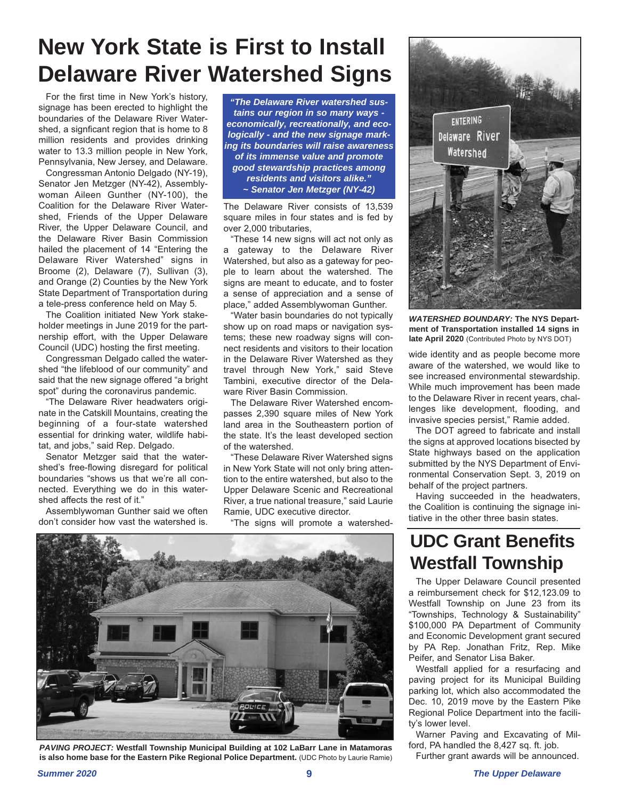## **New York State is First to Install Delaware River Watershed Signs**

For the first time in New York's history, signage has been erected to highlight the boundaries of the Delaware River Watershed, a signficant region that is home to 8 million residents and provides drinking water to 13.3 million people in New York, Pennsylvania, New Jersey, and Delaware.

Congressman Antonio Delgado (NY-19), Senator Jen Metzger (NY-42), Assemblywoman Aileen Gunther (NY-100), the Coalition for the Delaware River Watershed, Friends of the Upper Delaware River, the Upper Delaware Council, and the Delaware River Basin Commission hailed the placement of 14 "Entering the Delaware River Watershed" signs in Broome (2), Delaware (7), Sullivan (3), and Orange (2) Counties by the New York State Department of Transportation during a tele-press conference held on May 5.

The Coalition initiated New York stakeholder meetings in June 2019 for the partnership effort, with the Upper Delaware Council (UDC) hosting the first meeting.

Congressman Delgado called the watershed "the lifeblood of our community" and said that the new signage offered "a bright spot" during the coronavirus pandemic.

"The Delaware River headwaters originate in the Catskill Mountains, creating the beginning of a four-state watershed essential for drinking water, wildlife habitat, and jobs," said Rep. Delgado.

Senator Metzger said that the watershed's free-flowing disregard for political boundaries "shows us that we're all connected. Everything we do in this watershed affects the rest of it."

Assemblywoman Gunther said we often don't consider how vast the watershed is.

*"The Delaware River watershed sustains our region in so many ways economically, recreationally, and ecologically - and the new signage marking its boundaries will raise awareness of its immense value and promote good stewardship practices among residents and visitors alike." ~ Senator Jen Metzger (NY-42)*

The Delaware River consists of 13,539 square miles in four states and is fed by over 2,000 tributaries,

"These 14 new signs will act not only as a gateway to the Delaware River Watershed, but also as a gateway for people to learn about the watershed. The signs are meant to educate, and to foster a sense of appreciation and a sense of place," added Assemblywoman Gunther.

"Water basin boundaries do not typically show up on road maps or navigation systems; these new roadway signs will connect residents and visitors to their location in the Delaware River Watershed as they travel through New York," said Steve Tambini, executive director of the Delaware River Basin Commission.

The Delaware River Watershed encompasses 2,390 square miles of New York land area in the Southeastern portion of the state. It's the least developed section of the watershed.

"These Delaware River Watershed signs in New York State will not only bring attention to the entire watershed, but also to the Upper Delaware Scenic and Recreational River, a true national treasure," said Laurie Ramie, UDC executive director.

"The signs will promote a watershed-



*PAVING PROJECT:* **Westfall Township Municipal Building at 102 LaBarr Lane in Matamoras is also home base for the Eastern Pike Regional Police Department.** (UDC Photo by Laurie Ramie)



*WATERSHED BOUNDARY:* **The NYS Department of Transportation installed 14 signs in** late April 2020 (Contributed Photo by NYS DOT)

wide identity and as people become more aware of the watershed, we would like to see increased environmental stewardship. While much improvement has been made to the Delaware River in recent years, challenges like development, flooding, and invasive species persist," Ramie added.

The DOT agreed to fabricate and install the signs at approved locations bisected by State highways based on the application submitted by the NYS Department of Environmental Conservation Sept. 3, 2019 on behalf of the project partners.

Having succeeded in the headwaters, the Coalition is continuing the signage initiative in the other three basin states.

## **UDC Grant Benefits Westfall Township**

The Upper Delaware Council presented a reimbursement check for \$12,123.09 to Westfall Township on June 23 from its "Townships, Technology & Sustainability" \$100,000 PA Department of Community and Economic Development grant secured by PA Rep. Jonathan Fritz, Rep. Mike Peifer, and Senator Lisa Baker.

Westfall applied for a resurfacing and paving project for its Municipal Building parking lot, which also accommodated the Dec. 10, 2019 move by the Eastern Pike Regional Police Department into the facility's lower level.

Warner Paving and Excavating of Milford, PA handled the 8,427 sq. ft. job.

Further grant awards will be announced.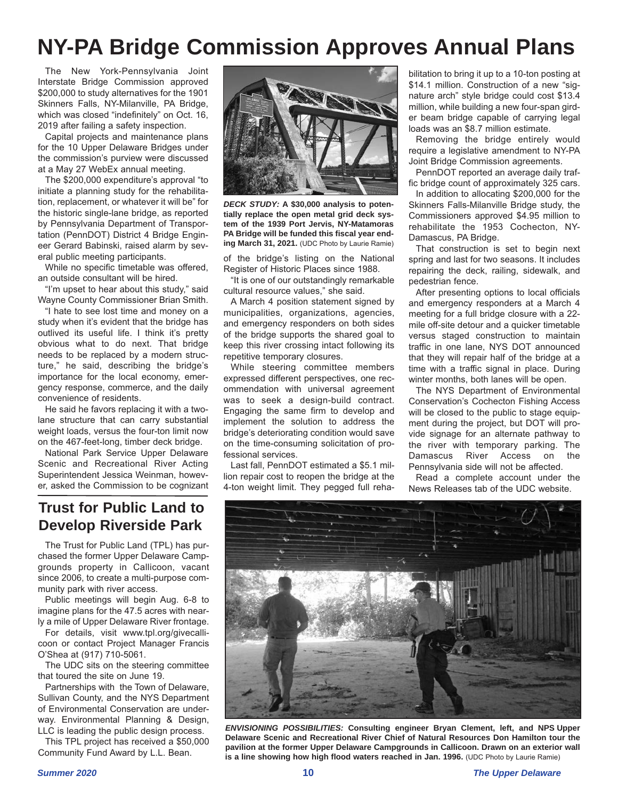## **NY-PA Bridge Commission Approves Annual Plans**

The New York-Pennsylvania Joint Interstate Bridge Commission approved \$200,000 to study alternatives for the 1901 Skinners Falls, NY-Milanville, PA Bridge, which was closed "indefinitely" on Oct. 16, 2019 after failing a safety inspection.

Capital projects and maintenance plans for the 10 Upper Delaware Bridges under the commission's purview were discussed at a May 27 WebEx annual meeting.

The \$200,000 expenditure's approval "to initiate a planning study for the rehabilitation, replacement, or whatever it will be" for the historic single-lane bridge, as reported by Pennsylvania Department of Transportation (PennDOT) District 4 Bridge Engineer Gerard Babinski, raised alarm by several public meeting participants.

While no specific timetable was offered, an outside consultant will be hired.

"I'm upset to hear about this study," said Wayne County Commissioner Brian Smith.

"I hate to see lost time and money on a study when it's evident that the bridge has outlived its useful life. I think it's pretty obvious what to do next. That bridge needs to be replaced by a modern structure," he said, describing the bridge's importance for the local economy, emergency response, commerce, and the daily convenience of residents.

He said he favors replacing it with a twolane structure that can carry substantial weight loads, versus the four-ton limit now on the 467-feet-long, timber deck bridge.

National Park Service Upper Delaware Scenic and Recreational River Acting Superintendent Jessica Weinman, however, asked the Commission to be cognizant

### **Trust for Public Land to Develop Riverside Park**

The Trust for Public Land (TPL) has purchased the former Upper Delaware Campgrounds property in Callicoon, vacant since 2006, to create a multi-purpose community park with river access.

Public meetings will begin Aug. 6-8 to imagine plans for the 47.5 acres with nearly a mile of Upper Delaware River frontage.

For details, visit www.tpl.org/givecallicoon or contact Project Manager Francis O'Shea at (917) 710-5061.

The UDC sits on the steering committee that toured the site on June 19.

Partnerships with the Town of Delaware, Sullivan County, and the NYS Department of Environmental Conservation are underway. Environmental Planning & Design, LLC is leading the public design process.

This TPL project has received a \$50,000 Community Fund Award by L.L. Bean.



*DECK STUDY:* **A \$30,000 analysis to potentially replace the open metal grid deck system of the 1939 Port Jervis, NY-Matamoras PA Bridge will be funded this fiscal year ending March 31, 2021.** (UDC Photo by Laurie Ramie)

of the bridge's listing on the National Register of Historic Places since 1988.

"It is one of our outstandingly remarkable cultural resource values," she said.

A March 4 position statement signed by municipalities, organizations, agencies, and emergency responders on both sides of the bridge supports the shared goal to keep this river crossing intact following its repetitive temporary closures.

While steering committee members expressed different perspectives, one recommendation with universal agreement was to seek a design-build contract. Engaging the same firm to develop and implement the solution to address the bridge's deteriorating condition would save on the time-consuming solicitation of professional services.

Last fall, PennDOT estimated a \$5.1 million repair cost to reopen the bridge at the 4-ton weight limit. They pegged full reha-

bilitation to bring it up to a 10-ton posting at \$14.1 million. Construction of a new "signature arch" style bridge could cost \$13.4 million, while building a new four-span girder beam bridge capable of carrying legal loads was an \$8.7 million estimate.

Removing the bridge entirely would require a legislative amendment to NY-PA Joint Bridge Commission agreements.

PennDOT reported an average daily traffic bridge count of approximately 325 cars.

In addition to allocating \$200,000 for the Skinners Falls-Milanville Bridge study, the Commissioners approved \$4.95 million to rehabilitate the 1953 Cochecton, NY-Damascus, PA Bridge.

That construction is set to begin next spring and last for two seasons. It includes repairing the deck, railing, sidewalk, and pedestrian fence.

After presenting options to local officials and emergency responders at a March 4 meeting for a full bridge closure with a 22 mile off-site detour and a quicker timetable versus staged construction to maintain traffic in one lane, NYS DOT announced that they will repair half of the bridge at a time with a traffic signal in place. During winter months, both lanes will be open.

The NYS Department of Environmental Conservation's Cochecton Fishing Access will be closed to the public to stage equipment during the project, but DOT will provide signage for an alternate pathway to the river with temporary parking. The Damascus River Access on the Pennsylvania side will not be affected.

Read a complete account under the News Releases tab of the UDC website.



*ENVISIONING POSSIBILITIES:* **Consulting engineer Bryan Clement, left, and NPS Upper Delaware Scenic and Recreational River Chief of Natural Resources Don Hamilton tour the pavilion at the former Upper Delaware Campgrounds in Callicoon. Drawn on an exterior wall is a line showing how high flood waters reached in Jan. 1996.** (UDC Photo by Laurie Ramie)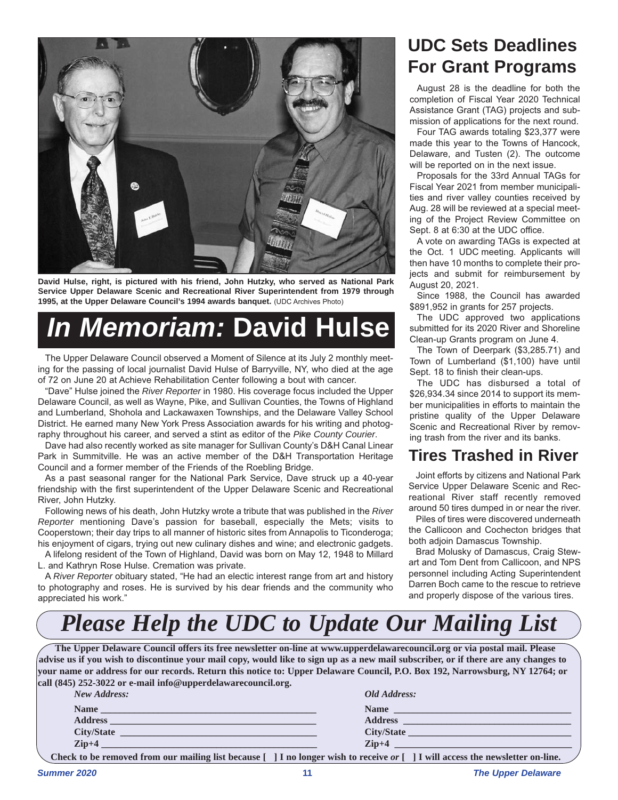

**David Hulse, right, is pictured with his friend, John Hutzky, who served as National Park Service Upper Delaware Scenic and Recreational River Superintendent from 1979 through 1995, at the Upper Delaware Council's 1994 awards banquet.** (UDC Archives Photo)

# *In Memoriam:* **David Hulse**

The Upper Delaware Council observed a Moment of Silence at its July 2 monthly meeting for the passing of local journalist David Hulse of Barryville, NY, who died at the age of 72 on June 20 at Achieve Rehabilitation Center following a bout with cancer.

"Dave" Hulse joined the *River Reporter* in 1980. His coverage focus included the Upper Delaware Council, as well as Wayne, Pike, and Sullivan Counties, the Towns of Highland and Lumberland, Shohola and Lackawaxen Townships, and the Delaware Valley School District. He earned many New York Press Association awards for his writing and photography throughout his career, and served a stint as editor of the *Pike County Courier*.

Dave had also recently worked as site manager for Sullivan County's D&H Canal Linear Park in Summitville. He was an active member of the D&H Transportation Heritage Council and a former member of the Friends of the Roebling Bridge.

As a past seasonal ranger for the National Park Service, Dave struck up a 40-year friendship with the first superintendent of the Upper Delaware Scenic and Recreational River, John Hutzky.

Following news of his death, John Hutzky wrote a tribute that was published in the *River Reporter* mentioning Dave's passion for baseball, especially the Mets; visits to Cooperstown; their day trips to all manner of historic sites from Annapolis to Ticonderoga; his enjoyment of cigars, trying out new culinary dishes and wine; and electronic gadgets.

A lifelong resident of the Town of Highland, David was born on May 12, 1948 to Millard L. and Kathryn Rose Hulse. Cremation was private.

A *River Reporter* obituary stated, "He had an electic interest range from art and history to photography and roses. He is survived by his dear friends and the community who appreciated his work."

## **UDC Sets Deadlines For Grant Programs**

August 28 is the deadline for both the completion of Fiscal Year 2020 Technical Assistance Grant (TAG) projects and submission of applications for the next round.

Four TAG awards totaling \$23,377 were made this year to the Towns of Hancock, Delaware, and Tusten (2). The outcome will be reported on in the next issue.

Proposals for the 33rd Annual TAGs for Fiscal Year 2021 from member municipalities and river valley counties received by Aug. 28 will be reviewed at a special meeting of the Project Review Committee on Sept. 8 at 6:30 at the UDC office.

A vote on awarding TAGs is expected at the Oct. 1 UDC meeting. Applicants will then have 10 months to complete their projects and submit for reimbursement by August 20, 2021.

Since 1988, the Council has awarded \$891,952 in grants for 257 projects.

The UDC approved two applications submitted for its 2020 River and Shoreline Clean-up Grants program on June 4.

The Town of Deerpark (\$3,285.71) and Town of Lumberland (\$1,100) have until Sept. 18 to finish their clean-ups.

The UDC has disbursed a total of \$26,934.34 since 2014 to support its member municipalities in efforts to maintain the pristine quality of the Upper Delaware Scenic and Recreational River by removing trash from the river and its banks.

### **Tires Trashed in River**

Joint efforts by citizens and National Park Service Upper Delaware Scenic and Recreational River staff recently removed around 50 tires dumped in or near the river.

Piles of tires were discovered underneath the Callicoon and Cochecton bridges that both adjoin Damascus Township.

Brad Molusky of Damascus, Craig Stewart and Tom Dent from Callicoon, and NPS personnel including Acting Superintendent Darren Boch came to the rescue to retrieve and properly dispose of the various tires.

## *Please Help the UDC to Update Our Mailing List*

**The Upper Delaware Council offers its free newsletter on-line at www.upperdelawarecouncil.org or via postal mail. Please advise us if you wish to discontinue your mail copy, would like to sign up as a new mail subscriber, or if there are any changes to your name or address for our records. Return this notice to: Upper Delaware Council, P.O. Box 192, Narrowsburg, NY 12764; or call (845) 252-3022 or e-mail info@upperdelawarecouncil.org.**

| New Address:                                                                                                            | Old Address:                                                                                                                                                                                                                   |
|-------------------------------------------------------------------------------------------------------------------------|--------------------------------------------------------------------------------------------------------------------------------------------------------------------------------------------------------------------------------|
|                                                                                                                         | Name Name and the second contract of the second second second second second second second second second second second second second second second second second second second second second second second second second second |
| Address <b>Manual Manual Manual Manual Manual Manual Manual Manual Manual Manual Manual Manual Manual Manual Manual</b> |                                                                                                                                                                                                                                |
|                                                                                                                         |                                                                                                                                                                                                                                |
| $\mathbf{Zip+4}$                                                                                                        | $\chi$ ip+4                                                                                                                                                                                                                    |
|                                                                                                                         | Check to be removed from our mailing list because $\lceil \ \rceil$ I no longer wish to receive or $\lceil \ \rceil$ I will access the newsletter on-line.                                                                     |